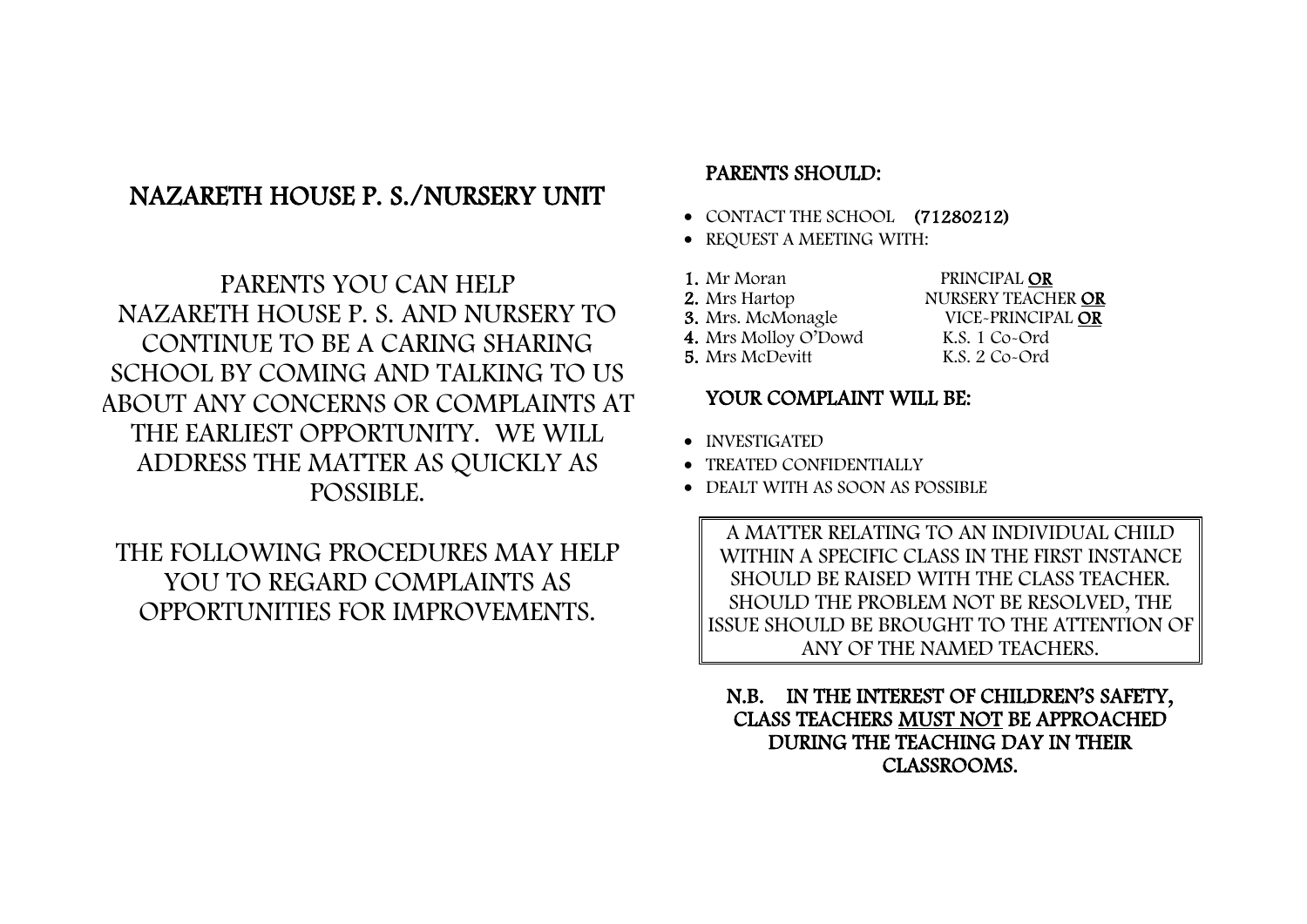## NAZARETH HOUSE P. S./NURSERY UNIT

PARENTS YOU CAN HELP NAZARETH HOUSE P. S. AND NURSERY TO CONTINUE TO BE A CARING SHARING SCHOOL BY COMING AND TALKING TO US ABOUT ANY CONCERNS OR COMPLAINTS AT THE EARLIEST OPPORTUNITY. WE WILL ADDRESS THE MATTER AS QUICKLY AS POSSIBLE.

THE FOLLOWING PROCEDURES MAY HELP YOU TO REGARD COMPLAINTS AS OPPORTUNITIES FOR IMPROVEMENTS.

## PARENTS SHOULD:

- CONTACT THE SCHOOL (71280212)
- REQUEST A MEETING WITH:
- 1. Mr Moran PRINCIPAL OR 2. Mrs Hartop NURSERY TEACHER OR VICE-PRINCIPAL OR<br>K.S. 1 Co-Ord 4. Mrs Molloy O'Dowd K.S. 1 Co-Ord<br>5. Mrs McDevitt K.S. 2 Co-Ord
- 5. Mrs McDevitt

## YOUR COMPLAINT WILL BE:

- INVESTIGATED
- TREATED CONFIDENTIALLY
- DEALT WITH AS SOON AS POSSIBLE

A MATTER RELATING TO AN INDIVIDUAL CHILD WITHIN A SPECIFIC CLASS IN THE FIRST INSTANCE SHOULD BE RAISED WITH THE CLASS TEACHER. SHOULD THE PROBLEM NOT BE RESOLVED, THE ISSUE SHOULD BE BROUGHT TO THE ATTENTION OF ANY OF THE NAMED TEACHERS.

N.B. IN THE INTEREST OF CHILDREN'S SAFETY, CLASS TEACHERS MUST NOT BE APPROACHED DURING THE TEACHING DAY IN THEIR CLASSROOMS.